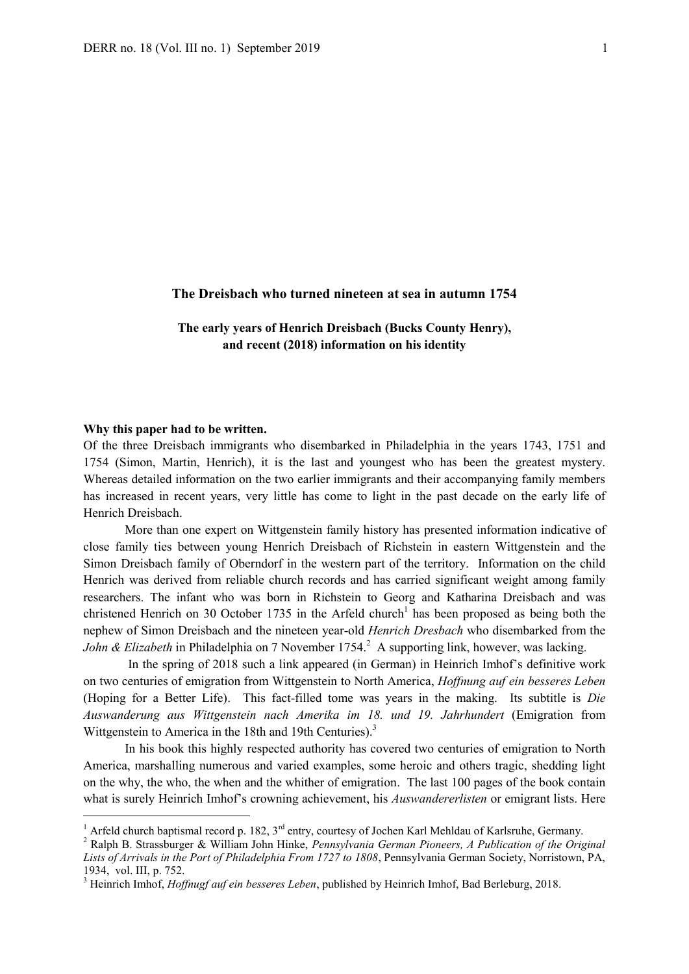#### **The Dreisbach who turned nineteen at sea in autumn 1754**

**The early years of Henrich Dreisbach (Bucks County Henry), and recent (2018) information on his identity**

#### **Why this paper had to be written.**

-

Of the three Dreisbach immigrants who disembarked in Philadelphia in the years 1743, 1751 and 1754 (Simon, Martin, Henrich), it is the last and youngest who has been the greatest mystery. Whereas detailed information on the two earlier immigrants and their accompanying family members has increased in recent years, very little has come to light in the past decade on the early life of Henrich Dreisbach.

More than one expert on Wittgenstein family history has presented information indicative of close family ties between young Henrich Dreisbach of Richstein in eastern Wittgenstein and the Simon Dreisbach family of Oberndorf in the western part of the territory. Information on the child Henrich was derived from reliable church records and has carried significant weight among family researchers. The infant who was born in Richstein to Georg and Katharina Dreisbach and was christened Henrich on 30 October 1735 in the Arfeld church<sup>1</sup> has been proposed as being both the nephew of Simon Dreisbach and the nineteen year-old *Henrich Dresbach* who disembarked from the *John & Elizabeth* in Philadelphia on 7 November 1754.<sup>2</sup> A supporting link, however, was lacking.

In the spring of 2018 such a link appeared (in German) in Heinrich Imhof's definitive work on two centuries of emigration from Wittgenstein to North America, *Hoffnung auf ein besseres Leben* (Hoping for a Better Life). This fact-filled tome was years in the making. Its subtitle is *Die Auswanderung aus Wittgenstein nach Amerika im 18. und 19. Jahrhundert* (Emigration from Wittgenstein to America in the 18th and 19th Centuries).<sup>3</sup>

In his book this highly respected authority has covered two centuries of emigration to North America, marshalling numerous and varied examples, some heroic and others tragic, shedding light on the why, the who, the when and the whither of emigration. The last 100 pages of the book contain what is surely Heinrich Imhof's crowning achievement, his *Auswandererlisten* or emigrant lists. Here

<sup>&</sup>lt;sup>1</sup> Arfeld church baptismal record p. 182,  $3^{rd}$  entry, courtesy of Jochen Karl Mehldau of Karlsruhe, Germany.

<sup>2</sup> Ralph B. Strassburger & William John Hinke, *Pennsylvania German Pioneers, A Publication of the Original Lists of Arrivals in the Port of Philadelphia From 1727 to 1808*, Pennsylvania German Society, Norristown, PA, 1934, vol. III, p. 752.

<sup>3</sup> Heinrich Imhof, *Hoffnugf auf ein besseres Leben*, published by Heinrich Imhof, Bad Berleburg, 2018.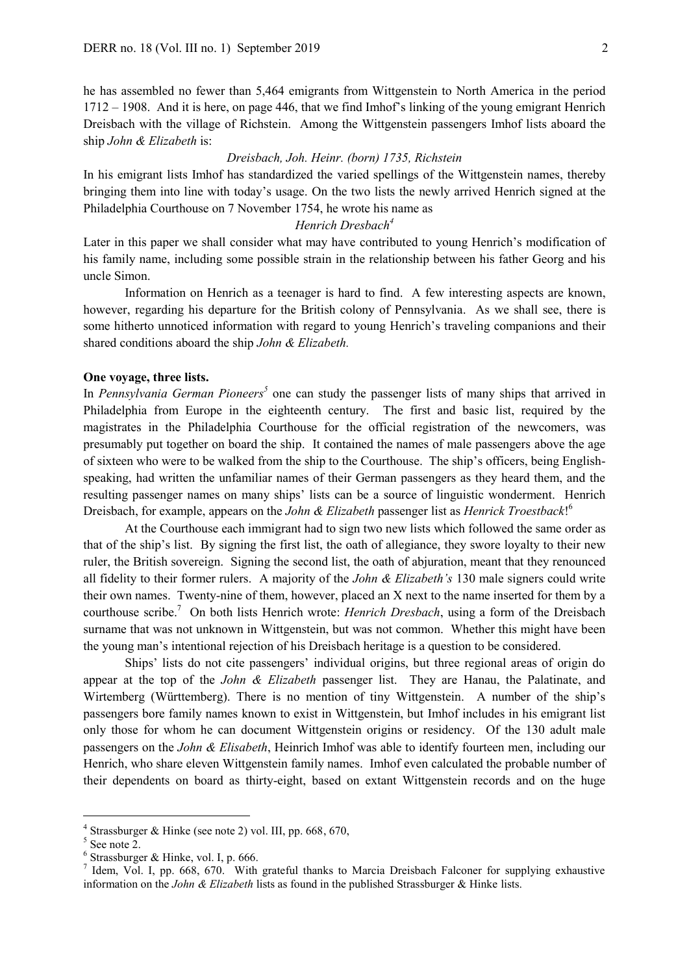he has assembled no fewer than 5,464 emigrants from Wittgenstein to North America in the period 1712 – 1908. And it is here, on page 446, that we find Imhof's linking of the young emigrant Henrich Dreisbach with the village of Richstein. Among the Wittgenstein passengers Imhof lists aboard the ship *John & Elizabeth* is:

## *Dreisbach, Joh. Heinr. (born) 1735, Richstein*

In his emigrant lists Imhof has standardized the varied spellings of the Wittgenstein names, thereby bringing them into line with today's usage. On the two lists the newly arrived Henrich signed at the Philadelphia Courthouse on 7 November 1754, he wrote his name as

## *Henrich Dresbach<sup>4</sup>*

Later in this paper we shall consider what may have contributed to young Henrich's modification of his family name, including some possible strain in the relationship between his father Georg and his uncle Simon.

Information on Henrich as a teenager is hard to find. A few interesting aspects are known, however, regarding his departure for the British colony of Pennsylvania. As we shall see, there is some hitherto unnoticed information with regard to young Henrich's traveling companions and their shared conditions aboard the ship *John & Elizabeth.*

## **One voyage, three lists.**

In *Pennsylvania German Pioneers<sup>5</sup>* one can study the passenger lists of many ships that arrived in Philadelphia from Europe in the eighteenth century. The first and basic list, required by the magistrates in the Philadelphia Courthouse for the official registration of the newcomers, was presumably put together on board the ship. It contained the names of male passengers above the age of sixteen who were to be walked from the ship to the Courthouse. The ship's officers, being Englishspeaking, had written the unfamiliar names of their German passengers as they heard them, and the resulting passenger names on many ships' lists can be a source of linguistic wonderment. Henrich Dreisbach, for example, appears on the *John & Elizabeth* passenger list as *Henrick Troestback*! 6

At the Courthouse each immigrant had to sign two new lists which followed the same order as that of the ship's list. By signing the first list, the oath of allegiance, they swore loyalty to their new ruler, the British sovereign. Signing the second list, the oath of abjuration, meant that they renounced all fidelity to their former rulers. A majority of the *John & Elizabeth's* 130 male signers could write their own names. Twenty-nine of them, however, placed an X next to the name inserted for them by a courthouse scribe.<sup>7</sup> On both lists Henrich wrote: *Henrich Dresbach*, using a form of the Dreisbach surname that was not unknown in Wittgenstein, but was not common. Whether this might have been the young man's intentional rejection of his Dreisbach heritage is a question to be considered.

Ships' lists do not cite passengers' individual origins, but three regional areas of origin do appear at the top of the *John & Elizabeth* passenger list. They are Hanau, the Palatinate, and Wirtemberg (Württemberg). There is no mention of tiny Wittgenstein. A number of the ship's passengers bore family names known to exist in Wittgenstein, but Imhof includes in his emigrant list only those for whom he can document Wittgenstein origins or residency. Of the 130 adult male passengers on the *John & Elisabeth*, Heinrich Imhof was able to identify fourteen men, including our Henrich, who share eleven Wittgenstein family names. Imhof even calculated the probable number of their dependents on board as thirty-eight, based on extant Wittgenstein records and on the huge

<sup>&</sup>lt;sup>4</sup> Strassburger & Hinke (see note 2) vol. III, pp. 668, 670,

 $5$  See note 2.

<sup>6</sup> Strassburger & Hinke, vol. I, p. 666.

<sup>&</sup>lt;sup>7</sup> Idem, Vol. I, pp. 668, 670. With grateful thanks to Marcia Dreisbach Falconer for supplying exhaustive information on the *John & Elizabeth* lists as found in the published Strassburger & Hinke lists.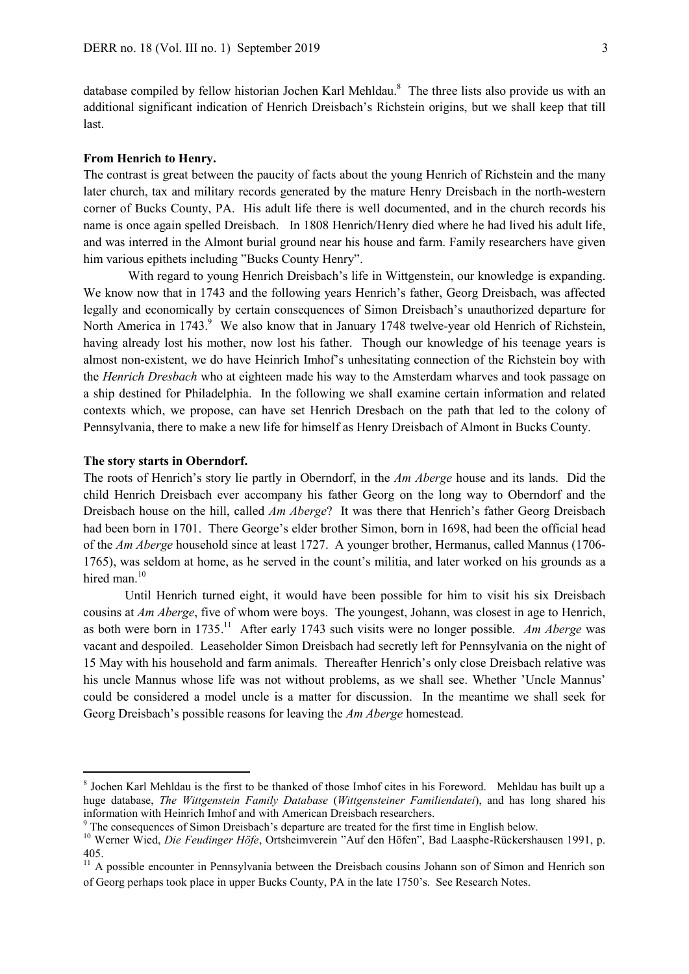database compiled by fellow historian Jochen Karl Mehldau.<sup>8</sup> The three lists also provide us with an additional significant indication of Henrich Dreisbach's Richstein origins, but we shall keep that till last.

## **From Henrich to Henry.**

The contrast is great between the paucity of facts about the young Henrich of Richstein and the many later church, tax and military records generated by the mature Henry Dreisbach in the north-western corner of Bucks County, PA. His adult life there is well documented, and in the church records his name is once again spelled Dreisbach. In 1808 Henrich/Henry died where he had lived his adult life, and was interred in the Almont burial ground near his house and farm. Family researchers have given him various epithets including "Bucks County Henry".

With regard to young Henrich Dreisbach's life in Wittgenstein, our knowledge is expanding. We know now that in 1743 and the following years Henrich's father, Georg Dreisbach, was affected legally and economically by certain consequences of Simon Dreisbach's unauthorized departure for North America in 1743.<sup>9</sup> We also know that in January 1748 twelve-year old Henrich of Richstein, having already lost his mother, now lost his father. Though our knowledge of his teenage years is almost non-existent, we do have Heinrich Imhof's unhesitating connection of the Richstein boy with the *Henrich Dresbach* who at eighteen made his way to the Amsterdam wharves and took passage on a ship destined for Philadelphia. In the following we shall examine certain information and related contexts which, we propose, can have set Henrich Dresbach on the path that led to the colony of Pennsylvania, there to make a new life for himself as Henry Dreisbach of Almont in Bucks County.

## **The story starts in Oberndorf.**

1

The roots of Henrich's story lie partly in Oberndorf, in the *Am Aberge* house and its lands. Did the child Henrich Dreisbach ever accompany his father Georg on the long way to Oberndorf and the Dreisbach house on the hill, called *Am Aberge*? It was there that Henrich's father Georg Dreisbach had been born in 1701. There George's elder brother Simon, born in 1698, had been the official head of the *Am Aberge* household since at least 1727. A younger brother, Hermanus, called Mannus (1706- 1765), was seldom at home, as he served in the count's militia, and later worked on his grounds as a hired man.<sup>10</sup>

Until Henrich turned eight, it would have been possible for him to visit his six Dreisbach cousins at *Am Aberge*, five of whom were boys. The youngest, Johann, was closest in age to Henrich, as both were born in 1735.<sup>11</sup> After early 1743 such visits were no longer possible. *Am Aberge* was vacant and despoiled. Leaseholder Simon Dreisbach had secretly left for Pennsylvania on the night of 15 May with his household and farm animals. Thereafter Henrich's only close Dreisbach relative was his uncle Mannus whose life was not without problems, as we shall see. Whether 'Uncle Mannus' could be considered a model uncle is a matter for discussion. In the meantime we shall seek for Georg Dreisbach's possible reasons for leaving the *Am Aberge* homestead.

<sup>&</sup>lt;sup>8</sup> Jochen Karl Mehldau is the first to be thanked of those Imhof cites in his Foreword. Mehldau has built up a huge database, *The Wittgenstein Family Database* (*Wittgensteiner Familiendatei*), and has long shared his information with Heinrich Imhof and with American Dreisbach researchers.

<sup>&</sup>lt;sup>9</sup> The consequences of Simon Dreisbach's departure are treated for the first time in English below.

<sup>&</sup>lt;sup>10</sup> Werner Wied, *Die Feudinger Höfe*, Ortsheimverein "Auf den Höfen", Bad Laasphe-Rückershausen 1991, p. 405.

<sup>&</sup>lt;sup>11</sup> A possible encounter in Pennsylvania between the Dreisbach cousins Johann son of Simon and Henrich son of Georg perhaps took place in upper Bucks County, PA in the late 1750's. See Research Notes.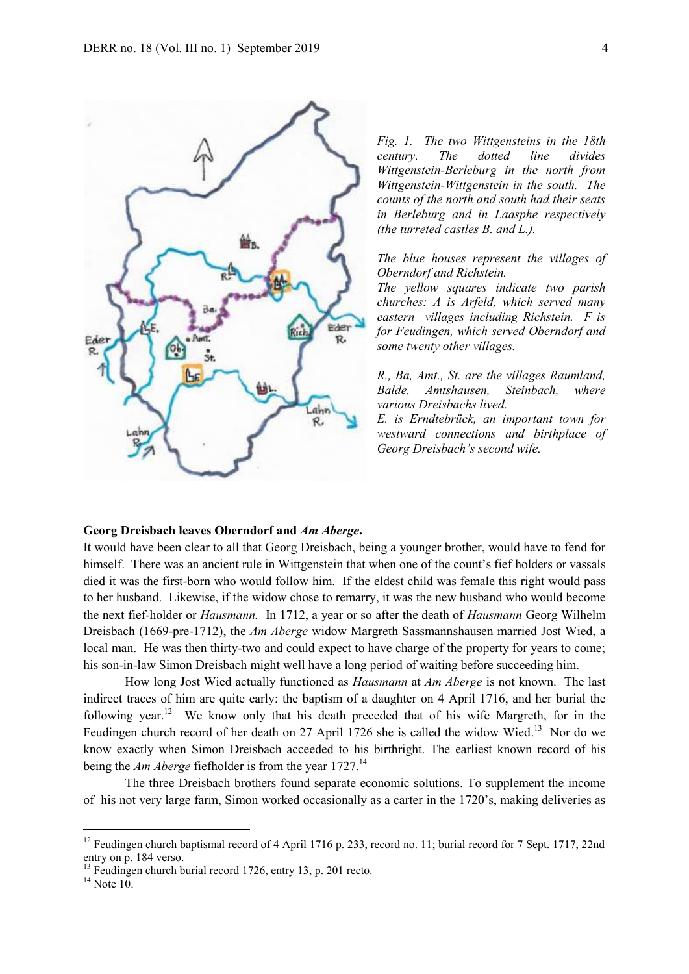

*Fig. 1. The two Wittgensteins in the 18th century. The dotted line divides Wittgenstein-Berleburg in the north from Wittgenstein-Wittgenstein in the south. The counts of the north and south had their seats in Berleburg and in Laasphe respectively (the turreted castles B. and L.).*

*The blue houses represent the villages of Oberndorf and Richstein.* 

*The yellow squares indicate two parish churches: A is Arfeld, which served many eastern villages including Richstein. F is for Feudingen, which served Oberndorf and some twenty other villages.*

*R., Ba, Amt., St. are the villages Raumland, Balde, Amtshausen, Steinbach, where various Dreisbachs lived.* 

*E. is Erndtebrück, an important town for westward connections and birthplace of Georg Dreisbach's second wife.* 

## **Georg Dreisbach leaves Oberndorf and** *Am Aberge***.**

It would have been clear to all that Georg Dreisbach, being a younger brother, would have to fend for himself. There was an ancient rule in Wittgenstein that when one of the count's fief holders or vassals died it was the first-born who would follow him. If the eldest child was female this right would pass to her husband. Likewise, if the widow chose to remarry, it was the new husband who would become the next fief-holder or *Hausmann.* In 1712, a year or so after the death of *Hausmann* Georg Wilhelm Dreisbach (1669-pre-1712), the *Am Aberge* widow Margreth Sassmannshausen married Jost Wied, a local man. He was then thirty-two and could expect to have charge of the property for years to come; his son-in-law Simon Dreisbach might well have a long period of waiting before succeeding him.

How long Jost Wied actually functioned as *Hausmann* at *Am Aberge* is not known. The last indirect traces of him are quite early: the baptism of a daughter on 4 April 1716, and her burial the following year.<sup>12</sup> We know only that his death preceded that of his wife Margreth, for in the Feudingen church record of her death on 27 April 1726 she is called the widow Wied.<sup>13</sup> Nor do we know exactly when Simon Dreisbach acceeded to his birthright. The earliest known record of his being the *Am Aberge* fiefholder is from the year 1727.<sup>14</sup>

The three Dreisbach brothers found separate economic solutions. To supplement the income of his not very large farm, Simon worked occasionally as a carter in the 1720's, making deliveries as

1

<sup>&</sup>lt;sup>12</sup> Feudingen church baptismal record of 4 April 1716 p. 233, record no. 11; burial record for 7 Sept. 1717, 22nd entry on p. 184 verso.

 $^{13}$  Feudingen church burial record 1726, entry 13, p. 201 recto.

 $14$  Note 10.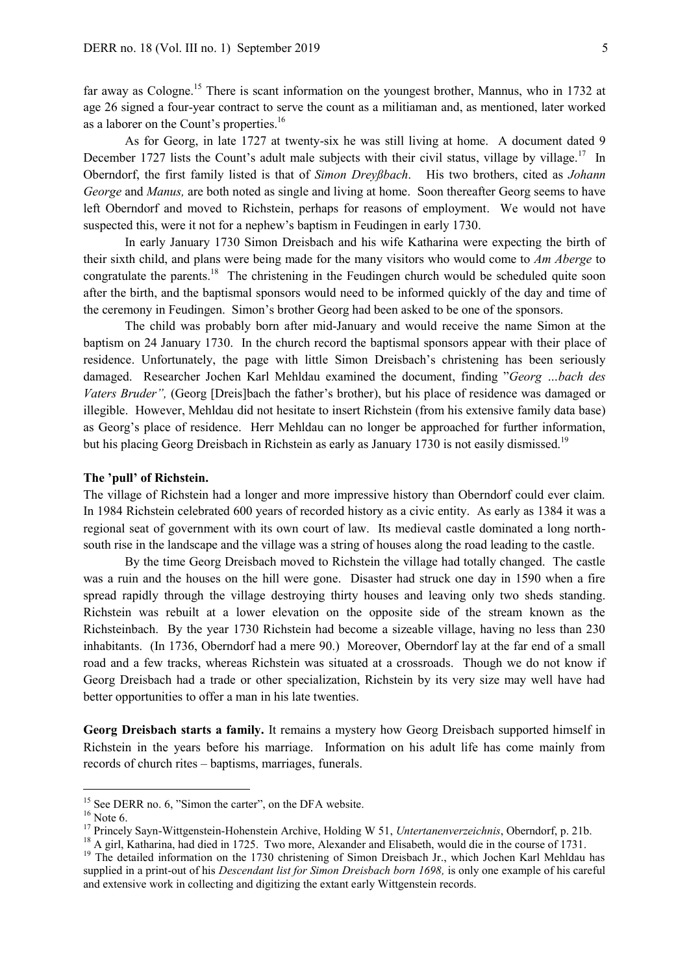far away as Cologne.<sup>15</sup> There is scant information on the youngest brother, Mannus, who in 1732 at age 26 signed a four-year contract to serve the count as a militiaman and, as mentioned, later worked as a laborer on the Count's properties.<sup>16</sup>

As for Georg, in late 1727 at twenty-six he was still living at home. A document dated 9 December 1727 lists the Count's adult male subjects with their civil status, village by village.<sup>17</sup> In Oberndorf, the first family listed is that of *Simon Dreyßbach*. His two brothers, cited as *Johann George* and *Manus,* are both noted as single and living at home. Soon thereafter Georg seems to have left Oberndorf and moved to Richstein, perhaps for reasons of employment. We would not have suspected this, were it not for a nephew's baptism in Feudingen in early 1730.

In early January 1730 Simon Dreisbach and his wife Katharina were expecting the birth of their sixth child, and plans were being made for the many visitors who would come to *Am Aberge* to congratulate the parents.<sup>18</sup> The christening in the Feudingen church would be scheduled quite soon after the birth, and the baptismal sponsors would need to be informed quickly of the day and time of the ceremony in Feudingen. Simon's brother Georg had been asked to be one of the sponsors.

The child was probably born after mid-January and would receive the name Simon at the baptism on 24 January 1730. In the church record the baptismal sponsors appear with their place of residence. Unfortunately, the page with little Simon Dreisbach's christening has been seriously damaged. Researcher Jochen Karl Mehldau examined the document, finding "*Georg …bach des Vaters Bruder",* (Georg [Dreis]bach the father's brother), but his place of residence was damaged or illegible. However, Mehldau did not hesitate to insert Richstein (from his extensive family data base) as Georg's place of residence. Herr Mehldau can no longer be approached for further information, but his placing Georg Dreisbach in Richstein as early as January 1730 is not easily dismissed.<sup>19</sup>

#### **The 'pull' of Richstein.**

The village of Richstein had a longer and more impressive history than Oberndorf could ever claim. In 1984 Richstein celebrated 600 years of recorded history as a civic entity. As early as 1384 it was a regional seat of government with its own court of law. Its medieval castle dominated a long northsouth rise in the landscape and the village was a string of houses along the road leading to the castle.

By the time Georg Dreisbach moved to Richstein the village had totally changed. The castle was a ruin and the houses on the hill were gone. Disaster had struck one day in 1590 when a fire spread rapidly through the village destroying thirty houses and leaving only two sheds standing. Richstein was rebuilt at a lower elevation on the opposite side of the stream known as the Richsteinbach. By the year 1730 Richstein had become a sizeable village, having no less than 230 inhabitants. (In 1736, Oberndorf had a mere 90.) Moreover, Oberndorf lay at the far end of a small road and a few tracks, whereas Richstein was situated at a crossroads. Though we do not know if Georg Dreisbach had a trade or other specialization, Richstein by its very size may well have had better opportunities to offer a man in his late twenties.

**Georg Dreisbach starts a family.** It remains a mystery how Georg Dreisbach supported himself in Richstein in the years before his marriage. Information on his adult life has come mainly from records of church rites – baptisms, marriages, funerals.

<sup>&</sup>lt;sup>15</sup> See DERR no. 6, "Simon the carter", on the DFA website.

 $16$  Note 6.

<sup>17</sup> Princely Sayn-Wittgenstein-Hohenstein Archive, Holding W 51, *Untertanenverzeichnis*, Oberndorf, p. 21b.

<sup>&</sup>lt;sup>18</sup> A girl, Katharina, had died in 1725. Two more, Alexander and Elisabeth, would die in the course of 1731.

<sup>&</sup>lt;sup>19</sup> The detailed information on the 1730 christening of Simon Dreisbach Jr., which Jochen Karl Mehldau has supplied in a print-out of his *Descendant list for Simon Dreisbach born 1698,* is only one example of his careful and extensive work in collecting and digitizing the extant early Wittgenstein records.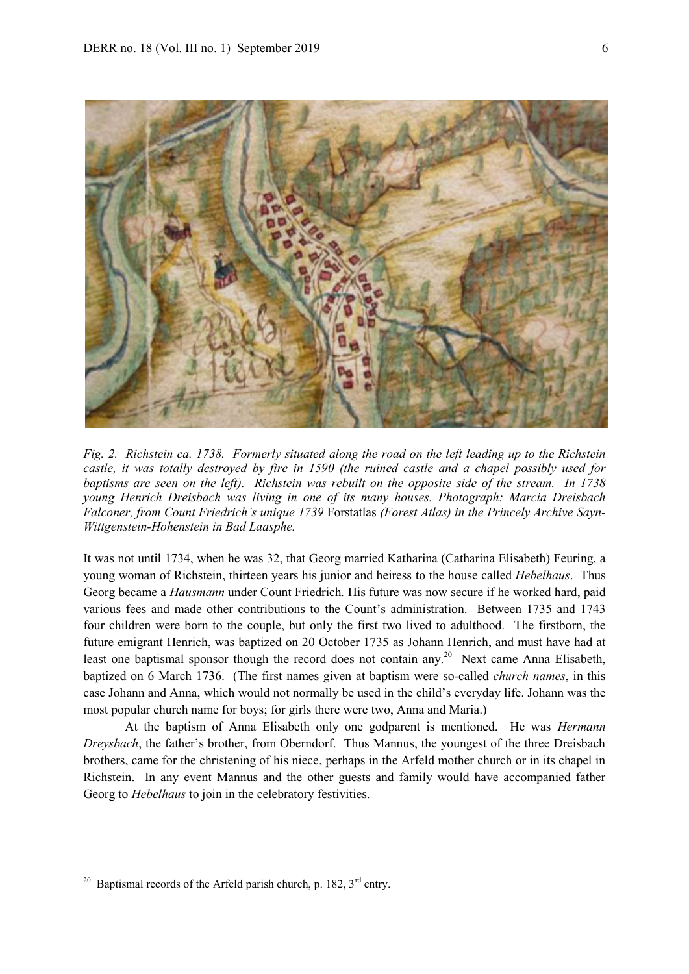

*Fig. 2. Richstein ca. 1738. Formerly situated along the road on the left leading up to the Richstein castle, it was totally destroyed by fire in 1590 (the ruined castle and a chapel possibly used for baptisms are seen on the left). Richstein was rebuilt on the opposite side of the stream. In 1738 young Henrich Dreisbach was living in one of its many houses. Photograph: Marcia Dreisbach Falconer, from Count Friedrich's unique 1739* Forstatlas *(Forest Atlas) in the Princely Archive Sayn-Wittgenstein-Hohenstein in Bad Laasphe.*

It was not until 1734, when he was 32, that Georg married Katharina (Catharina Elisabeth) Feuring, a young woman of Richstein, thirteen years his junior and heiress to the house called *Hebelhaus*. Thus Georg became a *Hausmann* under Count Friedrich*.* His future was now secure if he worked hard, paid various fees and made other contributions to the Count's administration. Between 1735 and 1743 four children were born to the couple, but only the first two lived to adulthood. The firstborn, the future emigrant Henrich, was baptized on 20 October 1735 as Johann Henrich, and must have had at least one baptismal sponsor though the record does not contain any.<sup>20</sup> Next came Anna Elisabeth, baptized on 6 March 1736. (The first names given at baptism were so-called *church names*, in this case Johann and Anna, which would not normally be used in the child's everyday life. Johann was the most popular church name for boys; for girls there were two, Anna and Maria.)

At the baptism of Anna Elisabeth only one godparent is mentioned. He was *Hermann Dreysbach*, the father's brother, from Oberndorf. Thus Mannus, the youngest of the three Dreisbach brothers, came for the christening of his niece, perhaps in the Arfeld mother church or in its chapel in Richstein. In any event Mannus and the other guests and family would have accompanied father Georg to *Hebelhaus* to join in the celebratory festivities.

<sup>&</sup>lt;sup>20</sup> Baptismal records of the Arfeld parish church, p. 182,  $3^{\text{rd}}$  entry.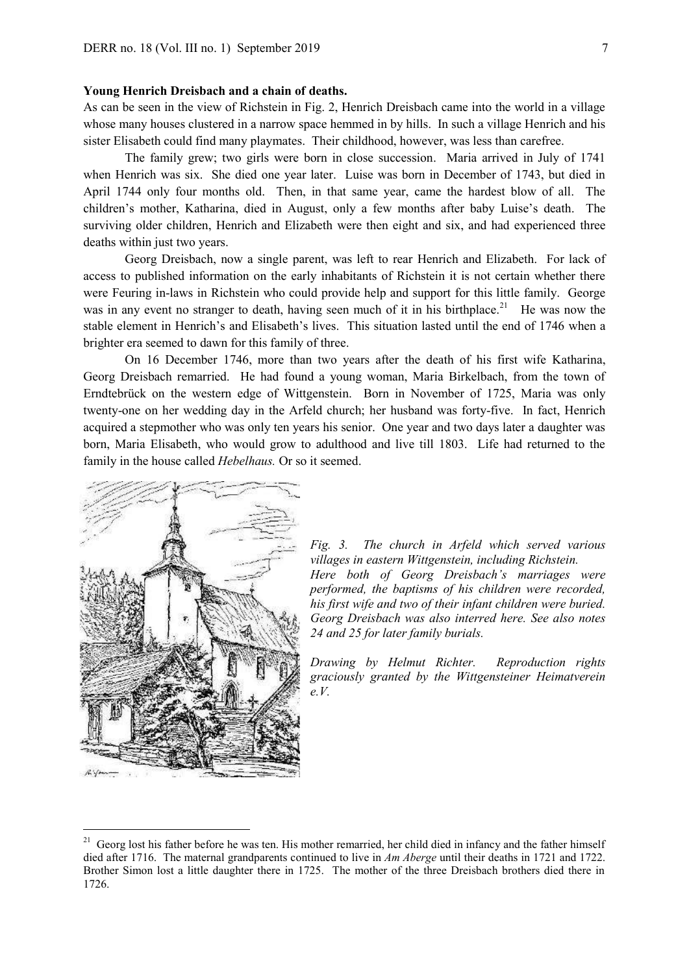#### **Young Henrich Dreisbach and a chain of deaths.**

As can be seen in the view of Richstein in Fig. 2, Henrich Dreisbach came into the world in a village whose many houses clustered in a narrow space hemmed in by hills. In such a village Henrich and his sister Elisabeth could find many playmates. Their childhood, however, was less than carefree.

The family grew; two girls were born in close succession. Maria arrived in July of 1741 when Henrich was six. She died one year later. Luise was born in December of 1743, but died in April 1744 only four months old. Then, in that same year, came the hardest blow of all. The children's mother, Katharina, died in August, only a few months after baby Luise's death. The surviving older children, Henrich and Elizabeth were then eight and six, and had experienced three deaths within just two years.

Georg Dreisbach, now a single parent, was left to rear Henrich and Elizabeth. For lack of access to published information on the early inhabitants of Richstein it is not certain whether there were Feuring in-laws in Richstein who could provide help and support for this little family. George was in any event no stranger to death, having seen much of it in his birthplace.<sup>21</sup> He was now the stable element in Henrich's and Elisabeth's lives. This situation lasted until the end of 1746 when a brighter era seemed to dawn for this family of three.

On 16 December 1746, more than two years after the death of his first wife Katharina, Georg Dreisbach remarried. He had found a young woman, Maria Birkelbach, from the town of Erndtebrück on the western edge of Wittgenstein. Born in November of 1725, Maria was only twenty-one on her wedding day in the Arfeld church; her husband was forty-five. In fact, Henrich acquired a stepmother who was only ten years his senior. One year and two days later a daughter was born, Maria Elisabeth, who would grow to adulthood and live till 1803. Life had returned to the family in the house called *Hebelhaus.* Or so it seemed.



1

*Fig. 3. The church in Arfeld which served various villages in eastern Wittgenstein, including Richstein. Here both of Georg Dreisbach's marriages were performed, the baptisms of his children were recorded, his first wife and two of their infant children were buried. Georg Dreisbach was also interred here. See also notes 24 and 25 for later family burials.*

*Drawing by Helmut Richter. Reproduction rights graciously granted by the Wittgensteiner Heimatverein e.V.*

<sup>&</sup>lt;sup>21</sup> Georg lost his father before he was ten. His mother remarried, her child died in infancy and the father himself died after 1716. The maternal grandparents continued to live in *Am Aberge* until their deaths in 1721 and 1722. Brother Simon lost a little daughter there in 1725. The mother of the three Dreisbach brothers died there in 1726.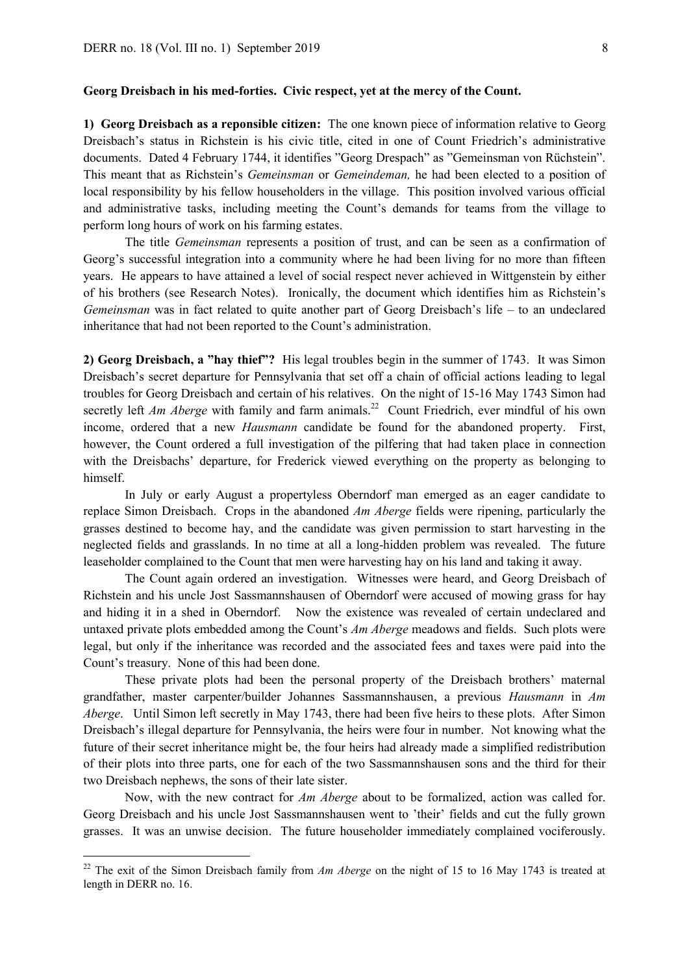#### **Georg Dreisbach in his med-forties. Civic respect, yet at the mercy of the Count.**

**1) Georg Dreisbach as a reponsible citizen:** The one known piece of information relative to Georg Dreisbach's status in Richstein is his civic title, cited in one of Count Friedrich's administrative documents. Dated 4 February 1744, it identifies "Georg Drespach" as "Gemeinsman von Rüchstein". This meant that as Richstein's *Gemeinsman* or *Gemeindeman,* he had been elected to a position of local responsibility by his fellow householders in the village. This position involved various official and administrative tasks, including meeting the Count's demands for teams from the village to perform long hours of work on his farming estates.

The title *Gemeinsman* represents a position of trust, and can be seen as a confirmation of Georg's successful integration into a community where he had been living for no more than fifteen years. He appears to have attained a level of social respect never achieved in Wittgenstein by either of his brothers (see Research Notes). Ironically, the document which identifies him as Richstein's *Gemeinsman* was in fact related to quite another part of Georg Dreisbach's life – to an undeclared inheritance that had not been reported to the Count's administration.

**2) Georg Dreisbach, a "hay thief"?** His legal troubles begin in the summer of 1743. It was Simon Dreisbach's secret departure for Pennsylvania that set off a chain of official actions leading to legal troubles for Georg Dreisbach and certain of his relatives. On the night of 15-16 May 1743 Simon had secretly left *Am Aberge* with family and farm animals.<sup>22</sup> Count Friedrich, ever mindful of his own income, ordered that a new *Hausmann* candidate be found for the abandoned property. First, however, the Count ordered a full investigation of the pilfering that had taken place in connection with the Dreisbachs' departure, for Frederick viewed everything on the property as belonging to himself.

In July or early August a propertyless Oberndorf man emerged as an eager candidate to replace Simon Dreisbach. Crops in the abandoned *Am Aberge* fields were ripening, particularly the grasses destined to become hay, and the candidate was given permission to start harvesting in the neglected fields and grasslands. In no time at all a long-hidden problem was revealed. The future leaseholder complained to the Count that men were harvesting hay on his land and taking it away.

The Count again ordered an investigation. Witnesses were heard, and Georg Dreisbach of Richstein and his uncle Jost Sassmannshausen of Oberndorf were accused of mowing grass for hay and hiding it in a shed in Oberndorf. Now the existence was revealed of certain undeclared and untaxed private plots embedded among the Count's *Am Aberge* meadows and fields. Such plots were legal, but only if the inheritance was recorded and the associated fees and taxes were paid into the Count's treasury. None of this had been done.

These private plots had been the personal property of the Dreisbach brothers' maternal grandfather, master carpenter/builder Johannes Sassmannshausen, a previous *Hausmann* in *Am Aberge*. Until Simon left secretly in May 1743, there had been five heirs to these plots. After Simon Dreisbach's illegal departure for Pennsylvania, the heirs were four in number. Not knowing what the future of their secret inheritance might be, the four heirs had already made a simplified redistribution of their plots into three parts, one for each of the two Sassmannshausen sons and the third for their two Dreisbach nephews, the sons of their late sister.

Now, with the new contract for *Am Aberge* about to be formalized, action was called for. Georg Dreisbach and his uncle Jost Sassmannshausen went to 'their' fields and cut the fully grown grasses. It was an unwise decision. The future householder immediately complained vociferously.

<sup>&</sup>lt;sup>22</sup> The exit of the Simon Dreisbach family from *Am Aberge* on the night of 15 to 16 May 1743 is treated at length in DERR no. 16.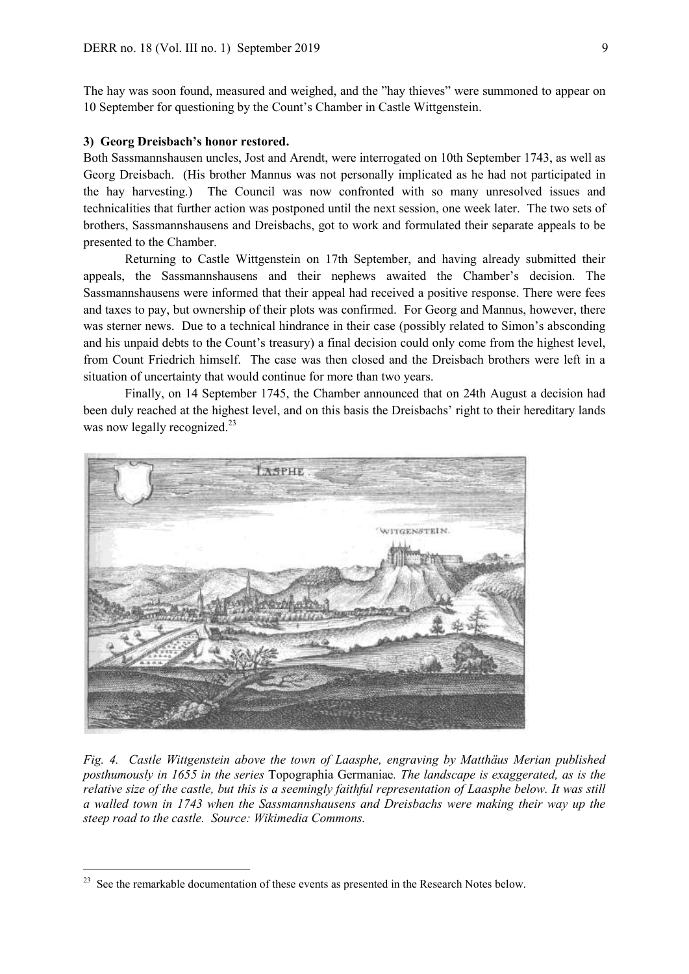The hay was soon found, measured and weighed, and the "hay thieves" were summoned to appear on 10 September for questioning by the Count's Chamber in Castle Wittgenstein.

#### **3) Georg Dreisbach's honor restored.**

Both Sassmannshausen uncles, Jost and Arendt, were interrogated on 10th September 1743, as well as Georg Dreisbach. (His brother Mannus was not personally implicated as he had not participated in the hay harvesting.) The Council was now confronted with so many unresolved issues and technicalities that further action was postponed until the next session, one week later. The two sets of brothers, Sassmannshausens and Dreisbachs, got to work and formulated their separate appeals to be presented to the Chamber.

Returning to Castle Wittgenstein on 17th September, and having already submitted their appeals, the Sassmannshausens and their nephews awaited the Chamber's decision. The Sassmannshausens were informed that their appeal had received a positive response. There were fees and taxes to pay, but ownership of their plots was confirmed. For Georg and Mannus, however, there was sterner news. Due to a technical hindrance in their case (possibly related to Simon's absconding and his unpaid debts to the Count's treasury) a final decision could only come from the highest level, from Count Friedrich himself. The case was then closed and the Dreisbach brothers were left in a situation of uncertainty that would continue for more than two years.

Finally, on 14 September 1745, the Chamber announced that on 24th August a decision had been duly reached at the highest level, and on this basis the Dreisbachs' right to their hereditary lands was now legally recognized.<sup>23</sup>



*Fig. 4. Castle Wittgenstein above the town of Laasphe, engraving by Matthäus Merian published posthumously in 1655 in the series* Topographia Germaniae*. The landscape is exaggerated, as is the relative size of the castle, but this is a seemingly faithful representation of Laasphe below. It was still a walled town in 1743 when the Sassmannshausens and Dreisbachs were making their way up the steep road to the castle. Source: Wikimedia Commons.*

 $2<sup>23</sup>$  See the remarkable documentation of these events as presented in the Research Notes below.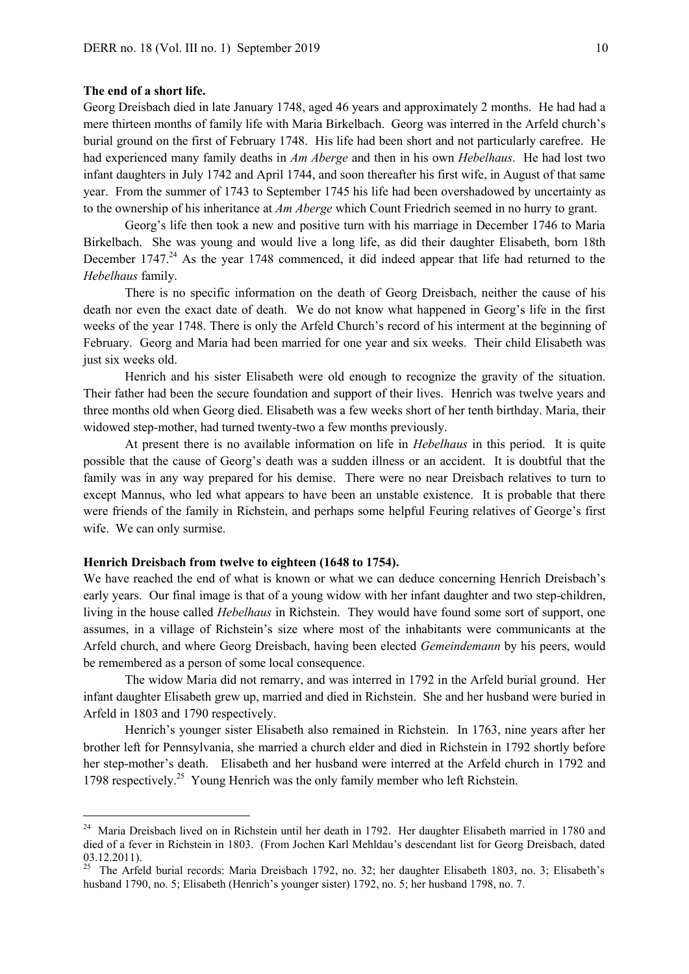#### **The end of a short life.**

-

Georg Dreisbach died in late January 1748, aged 46 years and approximately 2 months. He had had a mere thirteen months of family life with Maria Birkelbach. Georg was interred in the Arfeld church's burial ground on the first of February 1748. His life had been short and not particularly carefree. He had experienced many family deaths in *Am Aberge* and then in his own *Hebelhaus*. He had lost two infant daughters in July 1742 and April 1744, and soon thereafter his first wife, in August of that same year. From the summer of 1743 to September 1745 his life had been overshadowed by uncertainty as to the ownership of his inheritance at *Am Aberge* which Count Friedrich seemed in no hurry to grant.

Georg's life then took a new and positive turn with his marriage in December 1746 to Maria Birkelbach. She was young and would live a long life, as did their daughter Elisabeth, born 18th December  $1747<sup>24</sup>$  As the year 1748 commenced, it did indeed appear that life had returned to the *Hebelhaus* family.

There is no specific information on the death of Georg Dreisbach, neither the cause of his death nor even the exact date of death. We do not know what happened in Georg's life in the first weeks of the year 1748. There is only the Arfeld Church's record of his interment at the beginning of February. Georg and Maria had been married for one year and six weeks. Their child Elisabeth was just six weeks old.

Henrich and his sister Elisabeth were old enough to recognize the gravity of the situation. Their father had been the secure foundation and support of their lives. Henrich was twelve years and three months old when Georg died. Elisabeth was a few weeks short of her tenth birthday. Maria, their widowed step-mother, had turned twenty-two a few months previously.

At present there is no available information on life in *Hebelhaus* in this period. It is quite possible that the cause of Georg's death was a sudden illness or an accident. It is doubtful that the family was in any way prepared for his demise. There were no near Dreisbach relatives to turn to except Mannus, who led what appears to have been an unstable existence. It is probable that there were friends of the family in Richstein, and perhaps some helpful Feuring relatives of George's first wife. We can only surmise.

## **Henrich Dreisbach from twelve to eighteen (1648 to 1754).**

We have reached the end of what is known or what we can deduce concerning Henrich Dreisbach's early years. Our final image is that of a young widow with her infant daughter and two step-children, living in the house called *Hebelhaus* in Richstein. They would have found some sort of support, one assumes, in a village of Richstein's size where most of the inhabitants were communicants at the Arfeld church, and where Georg Dreisbach, having been elected *Gemeindemann* by his peers, would be remembered as a person of some local consequence.

The widow Maria did not remarry, and was interred in 1792 in the Arfeld burial ground. Her infant daughter Elisabeth grew up, married and died in Richstein. She and her husband were buried in Arfeld in 1803 and 1790 respectively.

Henrich's younger sister Elisabeth also remained in Richstein. In 1763, nine years after her brother left for Pennsylvania, she married a church elder and died in Richstein in 1792 shortly before her step-mother's death. Elisabeth and her husband were interred at the Arfeld church in 1792 and 1798 respectively. 25 Young Henrich was the only family member who left Richstein.

<sup>&</sup>lt;sup>24</sup> Maria Dreisbach lived on in Richstein until her death in 1792. Her daughter Elisabeth married in 1780 and died of a fever in Richstein in 1803. (From Jochen Karl Mehldau's descendant list for Georg Dreisbach, dated 03.12.2011).

<sup>&</sup>lt;sup>25</sup> The Arfeld burial records: Maria Dreisbach 1792, no. 32; her daughter Elisabeth 1803, no. 3; Elisabeth's husband 1790, no. 5; Elisabeth (Henrich's younger sister) 1792, no. 5; her husband 1798, no. 7.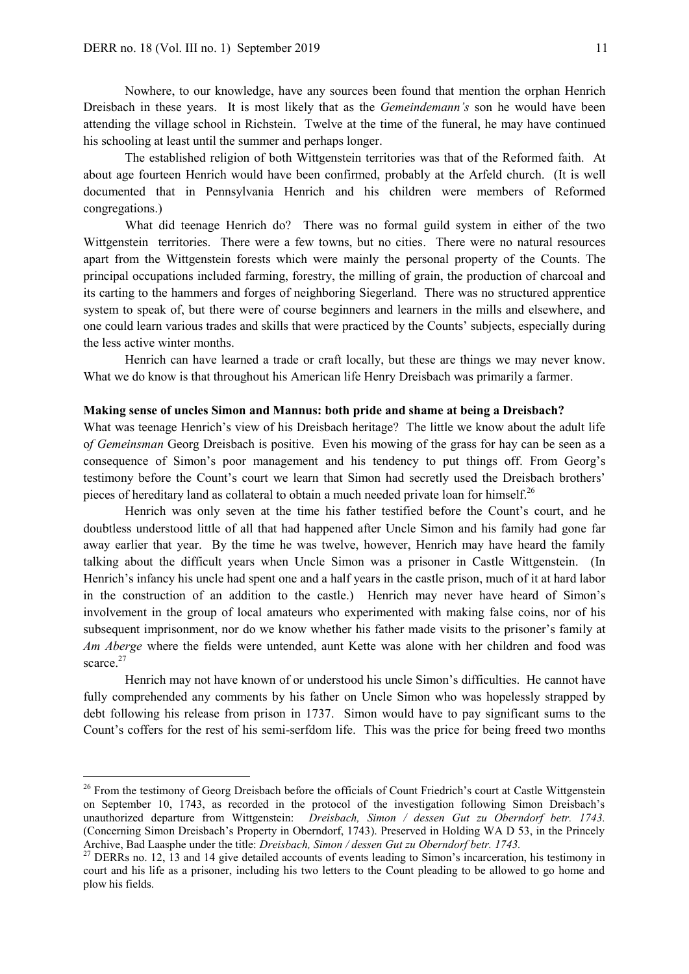-

Dreisbach in these years. It is most likely that as the *Gemeindemann's* son he would have been attending the village school in Richstein. Twelve at the time of the funeral, he may have continued his schooling at least until the summer and perhaps longer.

The established religion of both Wittgenstein territories was that of the Reformed faith. At about age fourteen Henrich would have been confirmed, probably at the Arfeld church. (It is well documented that in Pennsylvania Henrich and his children were members of Reformed congregations.)

What did teenage Henrich do? There was no formal guild system in either of the two Wittgenstein territories. There were a few towns, but no cities. There were no natural resources apart from the Wittgenstein forests which were mainly the personal property of the Counts. The principal occupations included farming, forestry, the milling of grain, the production of charcoal and its carting to the hammers and forges of neighboring Siegerland. There was no structured apprentice system to speak of, but there were of course beginners and learners in the mills and elsewhere, and one could learn various trades and skills that were practiced by the Counts' subjects, especially during the less active winter months.

Henrich can have learned a trade or craft locally, but these are things we may never know. What we do know is that throughout his American life Henry Dreisbach was primarily a farmer.

## **Making sense of uncles Simon and Mannus: both pride and shame at being a Dreisbach?**

What was teenage Henrich's view of his Dreisbach heritage? The little we know about the adult life o*f Gemeinsman* Georg Dreisbach is positive. Even his mowing of the grass for hay can be seen as a consequence of Simon's poor management and his tendency to put things off. From Georg's testimony before the Count's court we learn that Simon had secretly used the Dreisbach brothers' pieces of hereditary land as collateral to obtain a much needed private loan for himself.<sup>26</sup>

Henrich was only seven at the time his father testified before the Count's court, and he doubtless understood little of all that had happened after Uncle Simon and his family had gone far away earlier that year. By the time he was twelve, however, Henrich may have heard the family talking about the difficult years when Uncle Simon was a prisoner in Castle Wittgenstein. (In Henrich's infancy his uncle had spent one and a half years in the castle prison, much of it at hard labor in the construction of an addition to the castle.) Henrich may never have heard of Simon's involvement in the group of local amateurs who experimented with making false coins, nor of his subsequent imprisonment, nor do we know whether his father made visits to the prisoner's family at *Am Aberge* where the fields were untended, aunt Kette was alone with her children and food was scarce.<sup>27</sup>

Henrich may not have known of or understood his uncle Simon's difficulties. He cannot have fully comprehended any comments by his father on Uncle Simon who was hopelessly strapped by debt following his release from prison in 1737. Simon would have to pay significant sums to the Count's coffers for the rest of his semi-serfdom life. This was the price for being freed two months

<sup>&</sup>lt;sup>26</sup> From the testimony of Georg Dreisbach before the officials of Count Friedrich's court at Castle Wittgenstein on September 10, 1743, as recorded in the protocol of the investigation following Simon Dreisbach's unauthorized departure from Wittgenstein: *Dreisbach, Simon / dessen Gut zu Oberndorf betr. 1743.*  (Concerning Simon Dreisbach's Property in Oberndorf, 1743). Preserved in Holding WA D 53, in the Princely Archive, Bad Laasphe under the title: *Dreisbach, Simon / dessen Gut zu Oberndorf betr. 1743.*

<sup>&</sup>lt;sup>27</sup> DERRs no. 12, 13 and 14 give detailed accounts of events leading to Simon's incarceration, his testimony in court and his life as a prisoner, including his two letters to the Count pleading to be allowed to go home and plow his fields.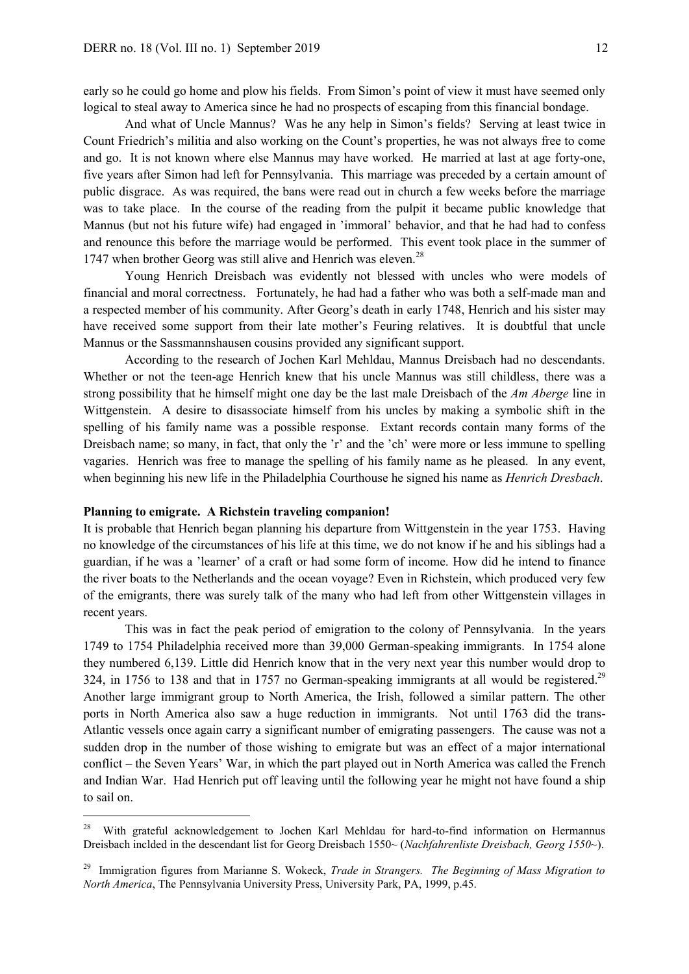early so he could go home and plow his fields. From Simon's point of view it must have seemed only logical to steal away to America since he had no prospects of escaping from this financial bondage.

And what of Uncle Mannus? Was he any help in Simon's fields? Serving at least twice in Count Friedrich's militia and also working on the Count's properties, he was not always free to come and go. It is not known where else Mannus may have worked. He married at last at age forty-one, five years after Simon had left for Pennsylvania. This marriage was preceded by a certain amount of public disgrace. As was required, the bans were read out in church a few weeks before the marriage was to take place. In the course of the reading from the pulpit it became public knowledge that Mannus (but not his future wife) had engaged in 'immoral' behavior, and that he had had to confess and renounce this before the marriage would be performed. This event took place in the summer of 1747 when brother Georg was still alive and Henrich was eleven.<sup>28</sup>

Young Henrich Dreisbach was evidently not blessed with uncles who were models of financial and moral correctness. Fortunately, he had had a father who was both a self-made man and a respected member of his community. After Georg's death in early 1748, Henrich and his sister may have received some support from their late mother's Feuring relatives. It is doubtful that uncle Mannus or the Sassmannshausen cousins provided any significant support.

According to the research of Jochen Karl Mehldau, Mannus Dreisbach had no descendants. Whether or not the teen-age Henrich knew that his uncle Mannus was still childless, there was a strong possibility that he himself might one day be the last male Dreisbach of the *Am Aberge* line in Wittgenstein. A desire to disassociate himself from his uncles by making a symbolic shift in the spelling of his family name was a possible response. Extant records contain many forms of the Dreisbach name; so many, in fact, that only the 'r' and the 'ch' were more or less immune to spelling vagaries. Henrich was free to manage the spelling of his family name as he pleased. In any event, when beginning his new life in the Philadelphia Courthouse he signed his name as *Henrich Dresbach*.

## **Planning to emigrate. A Richstein traveling companion!**

-

It is probable that Henrich began planning his departure from Wittgenstein in the year 1753. Having no knowledge of the circumstances of his life at this time, we do not know if he and his siblings had a guardian, if he was a 'learner' of a craft or had some form of income. How did he intend to finance the river boats to the Netherlands and the ocean voyage? Even in Richstein, which produced very few of the emigrants, there was surely talk of the many who had left from other Wittgenstein villages in recent years.

This was in fact the peak period of emigration to the colony of Pennsylvania. In the years 1749 to 1754 Philadelphia received more than 39,000 German-speaking immigrants. In 1754 alone they numbered 6,139. Little did Henrich know that in the very next year this number would drop to 324, in 1756 to 138 and that in 1757 no German-speaking immigrants at all would be registered.<sup>29</sup> Another large immigrant group to North America, the Irish, followed a similar pattern. The other ports in North America also saw a huge reduction in immigrants. Not until 1763 did the trans-Atlantic vessels once again carry a significant number of emigrating passengers. The cause was not a sudden drop in the number of those wishing to emigrate but was an effect of a major international conflict – the Seven Years' War, in which the part played out in North America was called the French and Indian War. Had Henrich put off leaving until the following year he might not have found a ship to sail on.

<sup>28</sup> With grateful acknowledgement to Jochen Karl Mehldau for hard-to-find information on Hermannus Dreisbach inclded in the descendant list for Georg Dreisbach 1550~ (*Nachfahrenliste Dreisbach, Georg 1550~*).

<sup>29</sup> Immigration figures from Marianne S. Wokeck, *Trade in Strangers. The Beginning of Mass Migration to North America*, The Pennsylvania University Press, University Park, PA, 1999, p.45.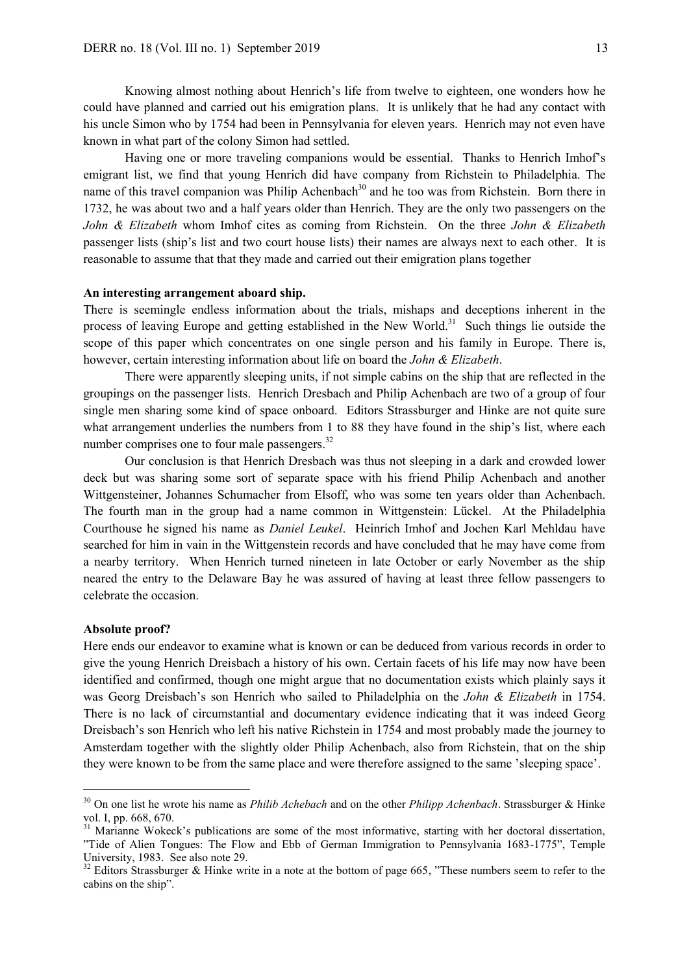Knowing almost nothing about Henrich's life from twelve to eighteen, one wonders how he could have planned and carried out his emigration plans. It is unlikely that he had any contact with his uncle Simon who by 1754 had been in Pennsylvania for eleven years. Henrich may not even have known in what part of the colony Simon had settled.

Having one or more traveling companions would be essential. Thanks to Henrich Imhof's emigrant list, we find that young Henrich did have company from Richstein to Philadelphia. The name of this travel companion was Philip Achenbach<sup>30</sup> and he too was from Richstein. Born there in 1732, he was about two and a half years older than Henrich. They are the only two passengers on the *John & Elizabeth* whom Imhof cites as coming from Richstein. On the three *John & Elizabeth* passenger lists (ship's list and two court house lists) their names are always next to each other. It is reasonable to assume that that they made and carried out their emigration plans together

## **An interesting arrangement aboard ship.**

There is seemingle endless information about the trials, mishaps and deceptions inherent in the process of leaving Europe and getting established in the New World.<sup>31</sup> Such things lie outside the scope of this paper which concentrates on one single person and his family in Europe. There is, however, certain interesting information about life on board the *John & Elizabeth*.

There were apparently sleeping units, if not simple cabins on the ship that are reflected in the groupings on the passenger lists. Henrich Dresbach and Philip Achenbach are two of a group of four single men sharing some kind of space onboard. Editors Strassburger and Hinke are not quite sure what arrangement underlies the numbers from 1 to 88 they have found in the ship's list, where each number comprises one to four male passengers.<sup>32</sup>

Our conclusion is that Henrich Dresbach was thus not sleeping in a dark and crowded lower deck but was sharing some sort of separate space with his friend Philip Achenbach and another Wittgensteiner, Johannes Schumacher from Elsoff, who was some ten years older than Achenbach. The fourth man in the group had a name common in Wittgenstein: Lückel. At the Philadelphia Courthouse he signed his name as *Daniel Leukel*. Heinrich Imhof and Jochen Karl Mehldau have searched for him in vain in the Wittgenstein records and have concluded that he may have come from a nearby territory. When Henrich turned nineteen in late October or early November as the ship neared the entry to the Delaware Bay he was assured of having at least three fellow passengers to celebrate the occasion.

#### **Absolute proof?**

-

Here ends our endeavor to examine what is known or can be deduced from various records in order to give the young Henrich Dreisbach a history of his own. Certain facets of his life may now have been identified and confirmed, though one might argue that no documentation exists which plainly says it was Georg Dreisbach's son Henrich who sailed to Philadelphia on the *John & Elizabeth* in 1754. There is no lack of circumstantial and documentary evidence indicating that it was indeed Georg Dreisbach's son Henrich who left his native Richstein in 1754 and most probably made the journey to Amsterdam together with the slightly older Philip Achenbach, also from Richstein, that on the ship they were known to be from the same place and were therefore assigned to the same 'sleeping space'.

<sup>30</sup> On one list he wrote his name as *Philib Achebach* and on the other *Philipp Achenbach*. Strassburger & Hinke vol. I, pp. 668, 670.

<sup>&</sup>lt;sup>31</sup> Marianne Wokeck's publications are some of the most informative, starting with her doctoral dissertation, "Tide of Alien Tongues: The Flow and Ebb of German Immigration to Pennsylvania 1683-1775", Temple University, 1983. See also note 29.

<sup>&</sup>lt;sup>32</sup> Editors Strassburger & Hinke write in a note at the bottom of page 665, "These numbers seem to refer to the cabins on the ship".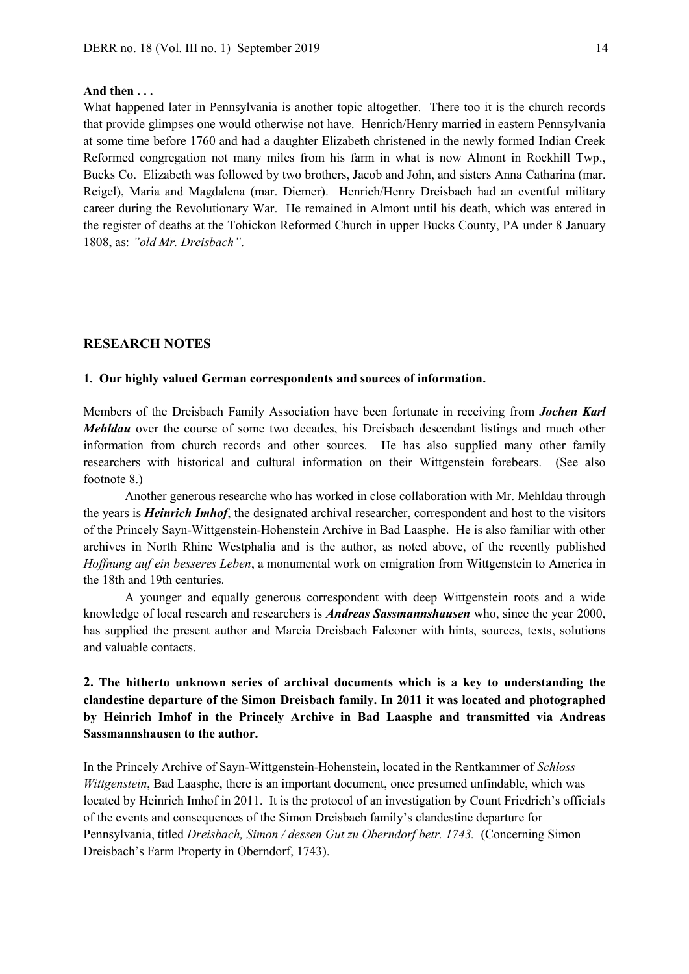#### **And then . . .**

What happened later in Pennsylvania is another topic altogether. There too it is the church records that provide glimpses one would otherwise not have. Henrich/Henry married in eastern Pennsylvania at some time before 1760 and had a daughter Elizabeth christened in the newly formed Indian Creek Reformed congregation not many miles from his farm in what is now Almont in Rockhill Twp., Bucks Co. Elizabeth was followed by two brothers, Jacob and John, and sisters Anna Catharina (mar. Reigel), Maria and Magdalena (mar. Diemer). Henrich/Henry Dreisbach had an eventful military career during the Revolutionary War. He remained in Almont until his death, which was entered in the register of deaths at the Tohickon Reformed Church in upper Bucks County, PA under 8 January 1808, as: *"old Mr. Dreisbach"*.

## **RESEARCH NOTES**

#### **1. Our highly valued German correspondents and sources of information.**

Members of the Dreisbach Family Association have been fortunate in receiving from *Jochen Karl Mehldau* over the course of some two decades, his Dreisbach descendant listings and much other information from church records and other sources. He has also supplied many other family researchers with historical and cultural information on their Wittgenstein forebears. (See also footnote 8.)

Another generous researche who has worked in close collaboration with Mr. Mehldau through the years is *Heinrich Imhof*, the designated archival researcher, correspondent and host to the visitors of the Princely Sayn-Wittgenstein-Hohenstein Archive in Bad Laasphe. He is also familiar with other archives in North Rhine Westphalia and is the author, as noted above, of the recently published *Hoffnung auf ein besseres Leben*, a monumental work on emigration from Wittgenstein to America in the 18th and 19th centuries.

A younger and equally generous correspondent with deep Wittgenstein roots and a wide knowledge of local research and researchers is *Andreas Sassmannshausen* who, since the year 2000, has supplied the present author and Marcia Dreisbach Falconer with hints, sources, texts, solutions and valuable contacts.

# **2. The hitherto unknown series of archival documents which is a key to understanding the clandestine departure of the Simon Dreisbach family. In 2011 it was located and photographed by Heinrich Imhof in the Princely Archive in Bad Laasphe and transmitted via Andreas Sassmannshausen to the author.**

In the Princely Archive of Sayn-Wittgenstein-Hohenstein, located in the Rentkammer of *Schloss Wittgenstein*, Bad Laasphe, there is an important document, once presumed unfindable, which was located by Heinrich Imhof in 2011. It is the protocol of an investigation by Count Friedrich's officials of the events and consequences of the Simon Dreisbach family's clandestine departure for Pennsylvania, titled *Dreisbach, Simon / dessen Gut zu Oberndorf betr. 1743.* (Concerning Simon Dreisbach's Farm Property in Oberndorf, 1743).